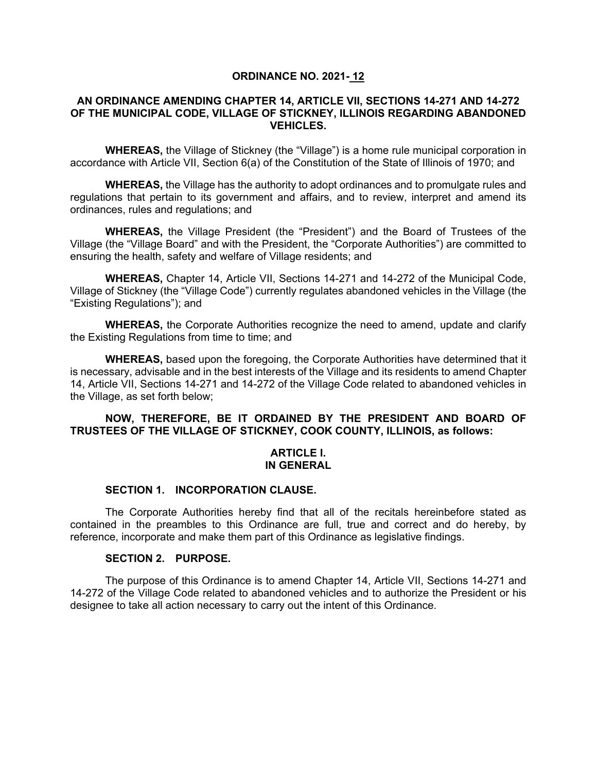## **ORDINANCE NO. 2021- 12**

### **AN ORDINANCE AMENDING CHAPTER 14, ARTICLE VII, SECTIONS 14-271 AND 14-272 OF THE MUNICIPAL CODE, VILLAGE OF STICKNEY, ILLINOIS REGARDING ABANDONED VEHICLES.**

**WHEREAS,** the Village of Stickney (the "Village") is a home rule municipal corporation in accordance with Article VII, Section 6(a) of the Constitution of the State of Illinois of 1970; and

**WHEREAS,** the Village has the authority to adopt ordinances and to promulgate rules and regulations that pertain to its government and affairs, and to review, interpret and amend its ordinances, rules and regulations; and

**WHEREAS,** the Village President (the "President") and the Board of Trustees of the Village (the "Village Board" and with the President, the "Corporate Authorities") are committed to ensuring the health, safety and welfare of Village residents; and

**WHEREAS,** Chapter 14, Article VII, Sections 14-271 and 14-272 of the Municipal Code, Village of Stickney (the "Village Code") currently regulates abandoned vehicles in the Village (the "Existing Regulations"); and

**WHEREAS,** the Corporate Authorities recognize the need to amend, update and clarify the Existing Regulations from time to time; and

**WHEREAS,** based upon the foregoing, the Corporate Authorities have determined that it is necessary, advisable and in the best interests of the Village and its residents to amend Chapter 14, Article VII, Sections 14-271 and 14-272 of the Village Code related to abandoned vehicles in the Village, as set forth below;

# **NOW, THEREFORE, BE IT ORDAINED BY THE PRESIDENT AND BOARD OF TRUSTEES OF THE VILLAGE OF STICKNEY, COOK COUNTY, ILLINOIS, as follows:**

### **ARTICLE I. IN GENERAL**

# **SECTION 1. INCORPORATION CLAUSE.**

The Corporate Authorities hereby find that all of the recitals hereinbefore stated as contained in the preambles to this Ordinance are full, true and correct and do hereby, by reference, incorporate and make them part of this Ordinance as legislative findings.

# **SECTION 2. PURPOSE.**

The purpose of this Ordinance is to amend Chapter 14, Article VII, Sections 14-271 and 14-272 of the Village Code related to abandoned vehicles and to authorize the President or his designee to take all action necessary to carry out the intent of this Ordinance.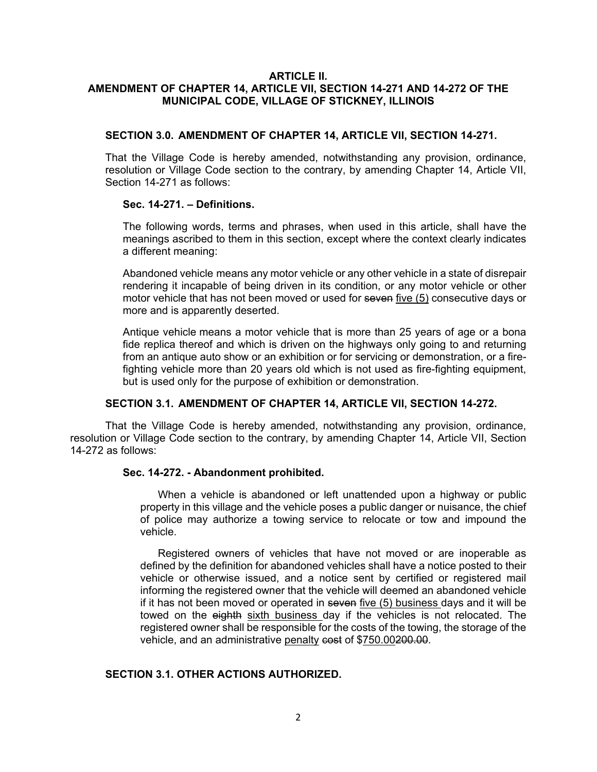#### **ARTICLE II. AMENDMENT OF CHAPTER 14, ARTICLE VII, SECTION 14-271 AND 14-272 OF THE MUNICIPAL CODE, VILLAGE OF STICKNEY, ILLINOIS**

#### **SECTION 3.0. AMENDMENT OF CHAPTER 14, ARTICLE VII, SECTION 14-271.**

That the Village Code is hereby amended, notwithstanding any provision, ordinance, resolution or Village Code section to the contrary, by amending Chapter 14, Article VII, Section 14-271 as follows:

### **Sec. 14-271. – Definitions.**

The following words, terms and phrases, when used in this article, shall have the meanings ascribed to them in this section, except where the context clearly indicates a different meaning:

Abandoned vehicle means any motor vehicle or any other vehicle in a state of disrepair rendering it incapable of being driven in its condition, or any motor vehicle or other motor vehicle that has not been moved or used for seven five (5) consecutive days or more and is apparently deserted.

Antique vehicle means a motor vehicle that is more than 25 years of age or a bona fide replica thereof and which is driven on the highways only going to and returning from an antique auto show or an exhibition or for servicing or demonstration, or a firefighting vehicle more than 20 years old which is not used as fire-fighting equipment, but is used only for the purpose of exhibition or demonstration.

# **SECTION 3.1. AMENDMENT OF CHAPTER 14, ARTICLE VII, SECTION 14-272.**

That the Village Code is hereby amended, notwithstanding any provision, ordinance, resolution or Village Code section to the contrary, by amending Chapter 14, Article VII, Section 14-272 as follows:

#### **Sec. 14-272. - Abandonment prohibited.**

When a vehicle is abandoned or left unattended upon a highway or public property in this village and the vehicle poses a public danger or nuisance, the chief of police may authorize a towing service to relocate or tow and impound the vehicle.

Registered owners of vehicles that have not moved or are inoperable as defined by the definition for abandoned vehicles shall have a notice posted to their vehicle or otherwise issued, and a notice sent by certified or registered mail informing the registered owner that the vehicle will deemed an abandoned vehicle if it has not been moved or operated in seven five (5) business days and it will be towed on the eighth sixth business day if the vehicles is not relocated. The registered owner shall be responsible for the costs of the towing, the storage of the vehicle, and an administrative penalty cost of \$750.00200.00.

## **SECTION 3.1. OTHER ACTIONS AUTHORIZED.**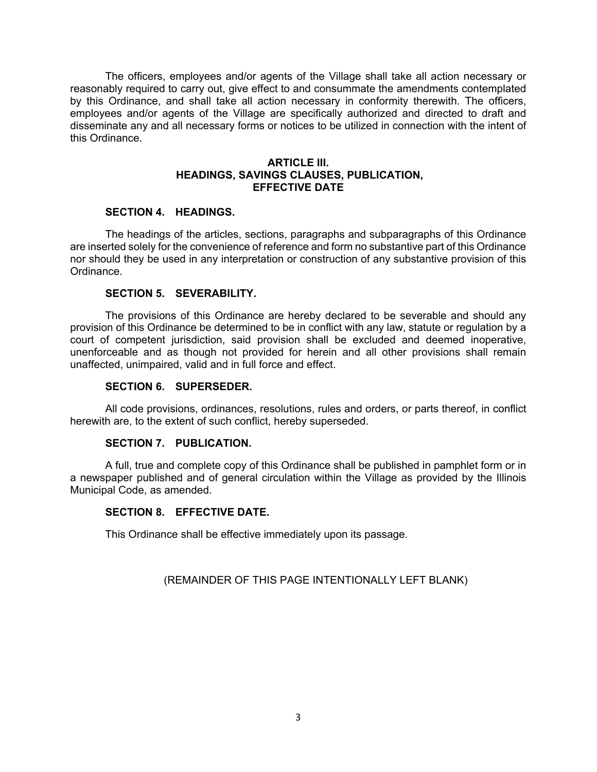The officers, employees and/or agents of the Village shall take all action necessary or reasonably required to carry out, give effect to and consummate the amendments contemplated by this Ordinance, and shall take all action necessary in conformity therewith. The officers, employees and/or agents of the Village are specifically authorized and directed to draft and disseminate any and all necessary forms or notices to be utilized in connection with the intent of this Ordinance.

### **ARTICLE III. HEADINGS, SAVINGS CLAUSES, PUBLICATION, EFFECTIVE DATE**

# **SECTION 4. HEADINGS.**

The headings of the articles, sections, paragraphs and subparagraphs of this Ordinance are inserted solely for the convenience of reference and form no substantive part of this Ordinance nor should they be used in any interpretation or construction of any substantive provision of this Ordinance.

### **SECTION 5. SEVERABILITY.**

The provisions of this Ordinance are hereby declared to be severable and should any provision of this Ordinance be determined to be in conflict with any law, statute or regulation by a court of competent jurisdiction, said provision shall be excluded and deemed inoperative, unenforceable and as though not provided for herein and all other provisions shall remain unaffected, unimpaired, valid and in full force and effect.

## **SECTION 6. SUPERSEDER.**

All code provisions, ordinances, resolutions, rules and orders, or parts thereof, in conflict herewith are, to the extent of such conflict, hereby superseded.

### **SECTION 7. PUBLICATION.**

A full, true and complete copy of this Ordinance shall be published in pamphlet form or in a newspaper published and of general circulation within the Village as provided by the Illinois Municipal Code, as amended.

### **SECTION 8. EFFECTIVE DATE.**

This Ordinance shall be effective immediately upon its passage.

### (REMAINDER OF THIS PAGE INTENTIONALLY LEFT BLANK)